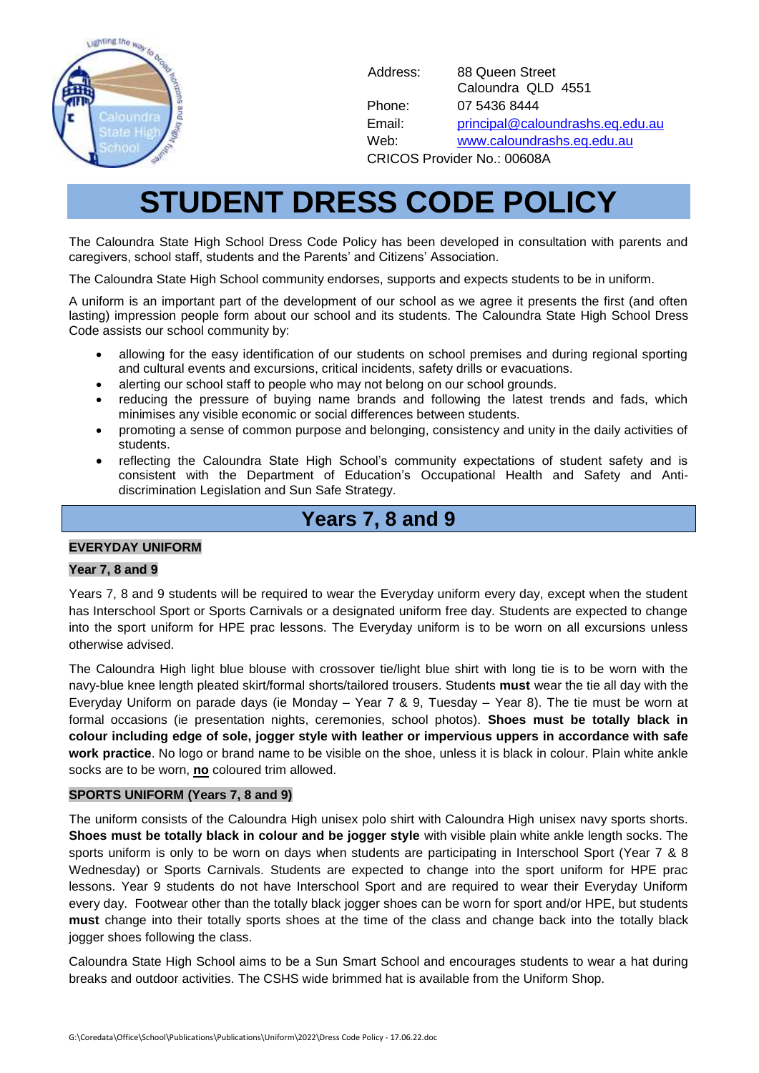

Address: 88 Queen Street Caloundra QLD 4551 Phone: 07 5436 8444 Email: [principal@caloundrashs.eq.edu.au](mailto:principal@caloundrashs.eq.edu.au) Web: [www.caloundrashs.eq.edu.au](http://www.caloundrashs.eq.edu.au/) CRICOS Provider No.: 00608A

# **STUDENT DRESS CODE POLICY**

The Caloundra State High School Dress Code Policy has been developed in consultation with parents and caregivers, school staff, students and the Parents' and Citizens' Association.

The Caloundra State High School community endorses, supports and expects students to be in uniform.

A uniform is an important part of the development of our school as we agree it presents the first (and often lasting) impression people form about our school and its students. The Caloundra State High School Dress Code assists our school community by:

- allowing for the easy identification of our students on school premises and during regional sporting and cultural events and excursions, critical incidents, safety drills or evacuations.
- alerting our school staff to people who may not belong on our school grounds.
- reducing the pressure of buying name brands and following the latest trends and fads, which minimises any visible economic or social differences between students.
- promoting a sense of common purpose and belonging, consistency and unity in the daily activities of students.
- reflecting the Caloundra State High School's community expectations of student safety and is consistent with the Department of Education's Occupational Health and Safety and Antidiscrimination Legislation and Sun Safe Strategy.

# **Years 7, 8 and 9**

#### **EVERYDAY UNIFORM**

#### **Year 7, 8 and 9**

Years 7, 8 and 9 students will be required to wear the Everyday uniform every day, except when the student has Interschool Sport or Sports Carnivals or a designated uniform free day. Students are expected to change into the sport uniform for HPE prac lessons. The Everyday uniform is to be worn on all excursions unless otherwise advised.

The Caloundra High light blue blouse with crossover tie/light blue shirt with long tie is to be worn with the navy-blue knee length pleated skirt/formal shorts/tailored trousers. Students **must** wear the tie all day with the Everyday Uniform on parade days (ie Monday – Year 7 & 9, Tuesday – Year 8). The tie must be worn at formal occasions (ie presentation nights, ceremonies, school photos). **Shoes must be totally black in colour including edge of sole, jogger style with leather or impervious uppers in accordance with safe work practice**. No logo or brand name to be visible on the shoe, unless it is black in colour. Plain white ankle socks are to be worn, **no** coloured trim allowed.

#### **SPORTS UNIFORM (Years 7, 8 and 9)**

The uniform consists of the Caloundra High unisex polo shirt with Caloundra High unisex navy sports shorts. **Shoes must be totally black in colour and be jogger style** with visible plain white ankle length socks. The sports uniform is only to be worn on days when students are participating in Interschool Sport (Year 7 & 8 Wednesday) or Sports Carnivals. Students are expected to change into the sport uniform for HPE prac lessons. Year 9 students do not have Interschool Sport and are required to wear their Everyday Uniform every day. Footwear other than the totally black jogger shoes can be worn for sport and/or HPE, but students **must** change into their totally sports shoes at the time of the class and change back into the totally black jogger shoes following the class.

Caloundra State High School aims to be a Sun Smart School and encourages students to wear a hat during breaks and outdoor activities. The CSHS wide brimmed hat is available from the Uniform Shop.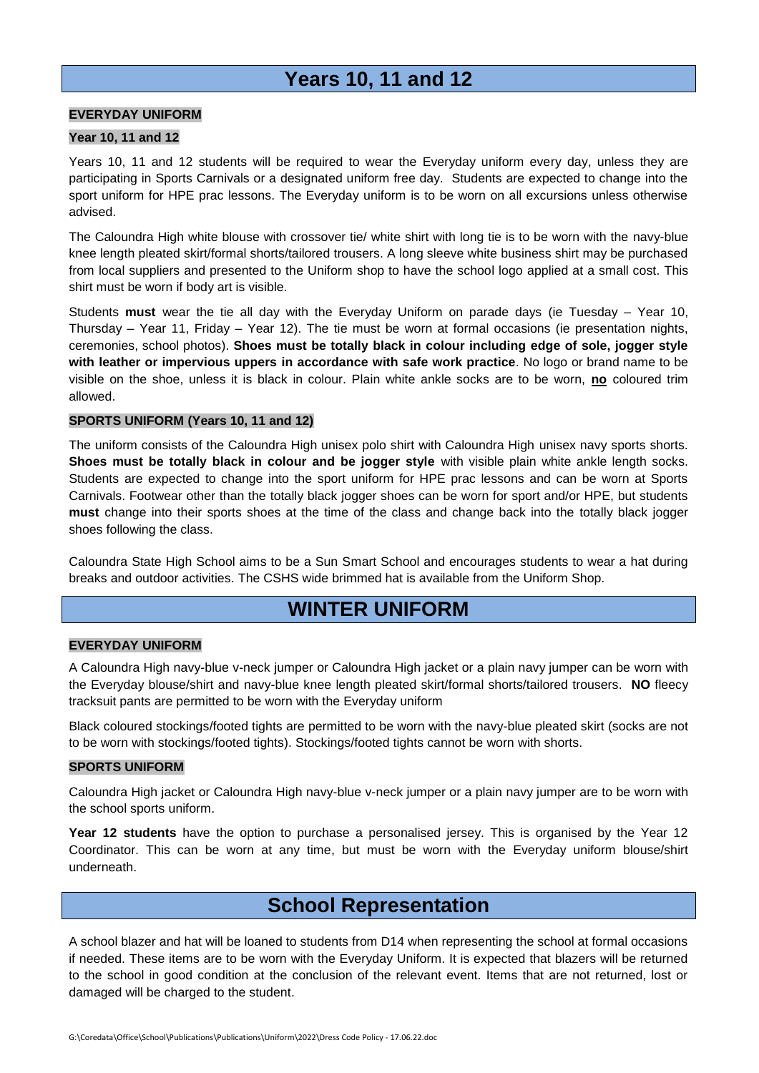# **Years 10, 11 and 12**

#### **EVERYDAY UNIFORM**

#### **Year 10, 11 and 12**

Years 10, 11 and 12 students will be required to wear the Everyday uniform every day, unless they are participating in Sports Carnivals or a designated uniform free day. Students are expected to change into the sport uniform for HPE prac lessons. The Everyday uniform is to be worn on all excursions unless otherwise advised.

The Caloundra High white blouse with crossover tie/ white shirt with long tie is to be worn with the navy-blue knee length pleated skirt/formal shorts/tailored trousers. A long sleeve white business shirt may be purchased from local suppliers and presented to the Uniform shop to have the school logo applied at a small cost. This shirt must be worn if body art is visible.

Students **must** wear the tie all day with the Everyday Uniform on parade days (ie Tuesday – Year 10, Thursday – Year 11, Friday – Year 12). The tie must be worn at formal occasions (ie presentation nights, ceremonies, school photos). **Shoes must be totally black in colour including edge of sole, jogger style with leather or impervious uppers in accordance with safe work practice**. No logo or brand name to be visible on the shoe, unless it is black in colour. Plain white ankle socks are to be worn, **no** coloured trim allowed.

#### **SPORTS UNIFORM (Years 10, 11 and 12)**

The uniform consists of the Caloundra High unisex polo shirt with Caloundra High unisex navy sports shorts. **Shoes must be totally black in colour and be jogger style** with visible plain white ankle length socks. Students are expected to change into the sport uniform for HPE prac lessons and can be worn at Sports Carnivals. Footwear other than the totally black jogger shoes can be worn for sport and/or HPE, but students **must** change into their sports shoes at the time of the class and change back into the totally black jogger shoes following the class.

Caloundra State High School aims to be a Sun Smart School and encourages students to wear a hat during breaks and outdoor activities. The CSHS wide brimmed hat is available from the Uniform Shop.

# **WINTER UNIFORM**

#### **EVERYDAY UNIFORM**

A Caloundra High navy-blue v-neck jumper or Caloundra High jacket or a plain navy jumper can be worn with the Everyday blouse/shirt and navy-blue knee length pleated skirt/formal shorts/tailored trousers. **NO** fleecy tracksuit pants are permitted to be worn with the Everyday uniform

Black coloured stockings/footed tights are permitted to be worn with the navy-blue pleated skirt (socks are not to be worn with stockings/footed tights). Stockings/footed tights cannot be worn with shorts.

#### **SPORTS UNIFORM**

Caloundra High jacket or Caloundra High navy-blue v-neck jumper or a plain navy jumper are to be worn with the school sports uniform.

**Year 12 students** have the option to purchase a personalised jersey. This is organised by the Year 12 Coordinator. This can be worn at any time, but must be worn with the Everyday uniform blouse/shirt underneath.

### **School Representation**

A school blazer and hat will be loaned to students from D14 when representing the school at formal occasions if needed. These items are to be worn with the Everyday Uniform. It is expected that blazers will be returned to the school in good condition at the conclusion of the relevant event. Items that are not returned, lost or damaged will be charged to the student.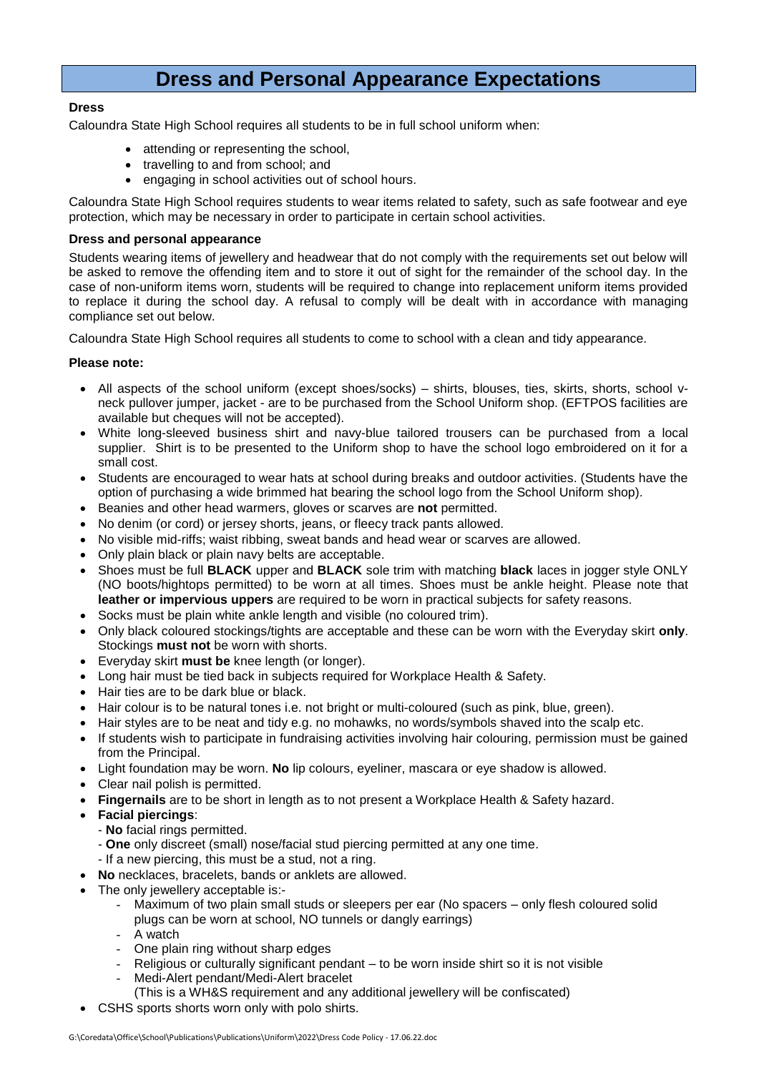# **Dress and Personal Appearance Expectations**

#### **Dress**

Caloundra State High School requires all students to be in full school uniform when:

- attending or representing the school,
- travelling to and from school: and
- engaging in school activities out of school hours.

Caloundra State High School requires students to wear items related to safety, such as safe footwear and eye protection, which may be necessary in order to participate in certain school activities.

#### **Dress and personal appearance**

Students wearing items of jewellery and headwear that do not comply with the requirements set out below will be asked to remove the offending item and to store it out of sight for the remainder of the school day. In the case of non-uniform items worn, students will be required to change into replacement uniform items provided to replace it during the school day. A refusal to comply will be dealt with in accordance with managing compliance set out below.

Caloundra State High School requires all students to come to school with a clean and tidy appearance.

#### **Please note:**

- All aspects of the school uniform (except shoes/socks) shirts, blouses, ties, skirts, shorts, school vneck pullover jumper, jacket - are to be purchased from the School Uniform shop. (EFTPOS facilities are available but cheques will not be accepted).
- White long-sleeved business shirt and navy-blue tailored trousers can be purchased from a local supplier. Shirt is to be presented to the Uniform shop to have the school logo embroidered on it for a small cost.
- Students are encouraged to wear hats at school during breaks and outdoor activities. (Students have the option of purchasing a wide brimmed hat bearing the school logo from the School Uniform shop).
- Beanies and other head warmers, gloves or scarves are **not** permitted.
- No denim (or cord) or jersey shorts, jeans, or fleecy track pants allowed.
- No visible mid-riffs; waist ribbing, sweat bands and head wear or scarves are allowed.
- Only plain black or plain navy belts are acceptable.
- Shoes must be full **BLACK** upper and **BLACK** sole trim with matching **black** laces in jogger style ONLY (NO boots/hightops permitted) to be worn at all times. Shoes must be ankle height. Please note that **leather or impervious uppers** are required to be worn in practical subjects for safety reasons.
- Socks must be plain white ankle length and visible (no coloured trim).
- Only black coloured stockings/tights are acceptable and these can be worn with the Everyday skirt **only**. Stockings **must not** be worn with shorts.
- Everyday skirt **must be** knee length (or longer).
- Long hair must be tied back in subjects required for Workplace Health & Safety.
- Hair ties are to be dark blue or black.
- Hair colour is to be natural tones i.e. not bright or multi-coloured (such as pink, blue, green).
- Hair styles are to be neat and tidy e.g. no mohawks, no words/symbols shaved into the scalp etc.
- If students wish to participate in fundraising activities involving hair colouring, permission must be gained from the Principal.
- Light foundation may be worn. **No** lip colours, eyeliner, mascara or eye shadow is allowed.
- Clear nail polish is permitted.
- **Fingernails** are to be short in length as to not present a Workplace Health & Safety hazard.
- **Facial piercings**:
	- **No** facial rings permitted.
	- **One** only discreet (small) nose/facial stud piercing permitted at any one time.
	- If a new piercing, this must be a stud, not a ring.
- **No** necklaces, bracelets, bands or anklets are allowed.
- The only jewellery acceptable is:-
	- Maximum of two plain small studs or sleepers per ear (No spacers only flesh coloured solid plugs can be worn at school, NO tunnels or dangly earrings)
	- A watch
	- One plain ring without sharp edges
	- Religious or culturally significant pendant to be worn inside shirt so it is not visible
	- Medi-Alert pendant/Medi-Alert bracelet
		- (This is a WH&S requirement and any additional jewellery will be confiscated)
- CSHS sports shorts worn only with polo shirts.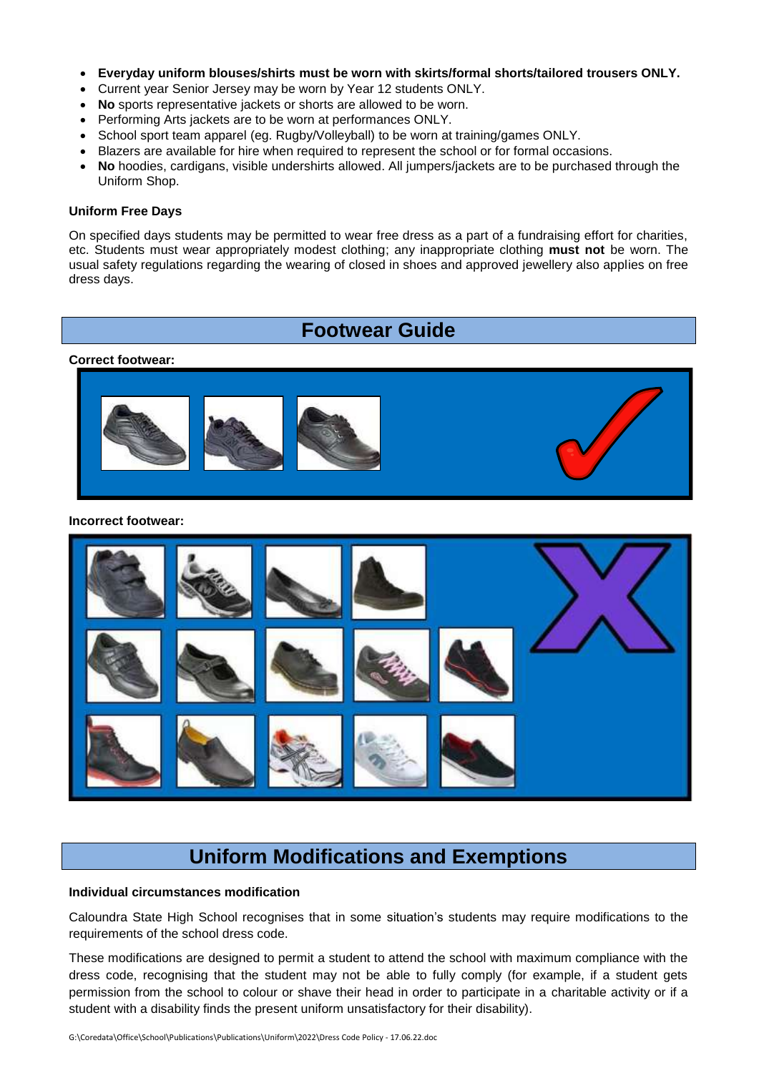- **Everyday uniform blouses/shirts must be worn with skirts/formal shorts/tailored trousers ONLY.**
- Current year Senior Jersey may be worn by Year 12 students ONLY.
- **No** sports representative jackets or shorts are allowed to be worn.
- Performing Arts jackets are to be worn at performances ONLY.
- School sport team apparel (eg. Rugby/Volleyball) to be worn at training/games ONLY.
- Blazers are available for hire when required to represent the school or for formal occasions.
- **No** hoodies, cardigans, visible undershirts allowed. All jumpers/jackets are to be purchased through the Uniform Shop.

#### **Uniform Free Days**

On specified days students may be permitted to wear free dress as a part of a fundraising effort for charities, etc. Students must wear appropriately modest clothing; any inappropriate clothing **must not** be worn. The usual safety regulations regarding the wearing of closed in shoes and approved jewellery also applies on free dress days.

# **Footwear Guide**

#### **Correct footwear:**



#### **Incorrect footwear:**



# **Uniform Modifications and Exemptions**

#### **Individual circumstances modification**

Caloundra State High School recognises that in some situation's students may require modifications to the requirements of the school dress code.

These modifications are designed to permit a student to attend the school with maximum compliance with the dress code, recognising that the student may not be able to fully comply (for example, if a student gets permission from the school to colour or shave their head in order to participate in a charitable activity or if a student with a disability finds the present uniform unsatisfactory for their disability).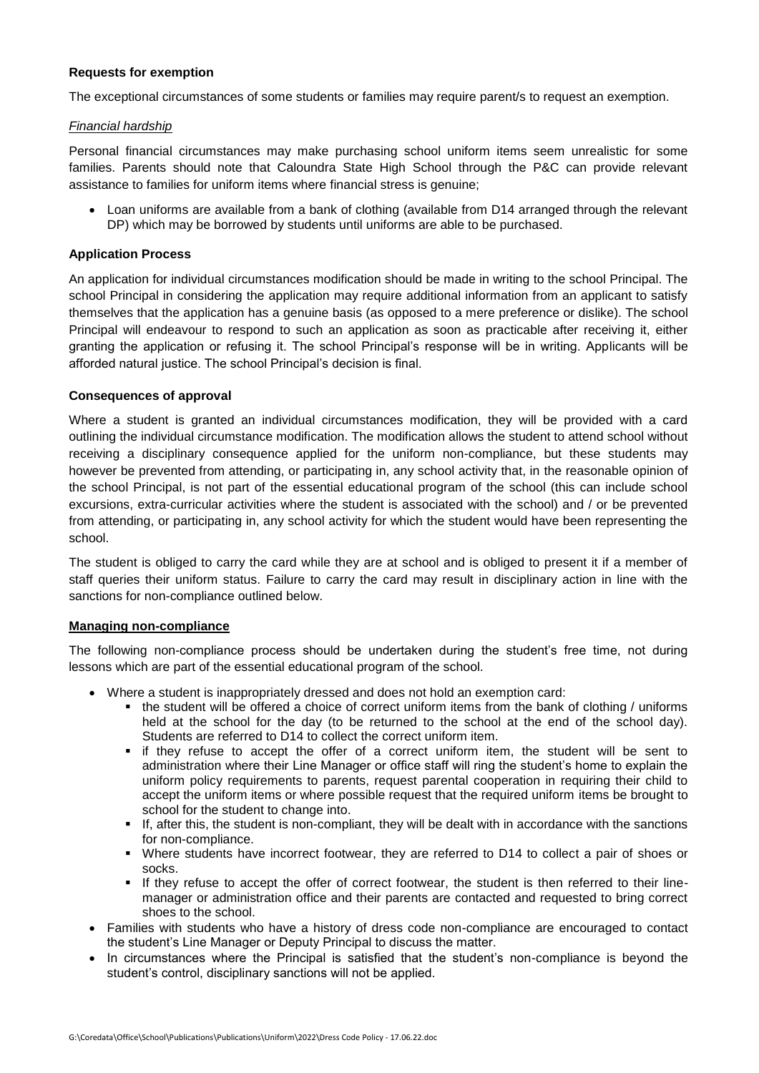#### **Requests for exemption**

The exceptional circumstances of some students or families may require parent/s to request an exemption.

#### *Financial hardship*

Personal financial circumstances may make purchasing school uniform items seem unrealistic for some families. Parents should note that Caloundra State High School through the P&C can provide relevant assistance to families for uniform items where financial stress is genuine;

• Loan uniforms are available from a bank of clothing (available from D14 arranged through the relevant DP) which may be borrowed by students until uniforms are able to be purchased.

#### **Application Process**

An application for individual circumstances modification should be made in writing to the school Principal. The school Principal in considering the application may require additional information from an applicant to satisfy themselves that the application has a genuine basis (as opposed to a mere preference or dislike). The school Principal will endeavour to respond to such an application as soon as practicable after receiving it, either granting the application or refusing it. The school Principal's response will be in writing. Applicants will be afforded natural justice. The school Principal's decision is final.

#### **Consequences of approval**

Where a student is granted an individual circumstances modification, they will be provided with a card outlining the individual circumstance modification. The modification allows the student to attend school without receiving a disciplinary consequence applied for the uniform non-compliance, but these students may however be prevented from attending, or participating in, any school activity that, in the reasonable opinion of the school Principal, is not part of the essential educational program of the school (this can include school excursions, extra-curricular activities where the student is associated with the school) and / or be prevented from attending, or participating in, any school activity for which the student would have been representing the school.

The student is obliged to carry the card while they are at school and is obliged to present it if a member of staff queries their uniform status. Failure to carry the card may result in disciplinary action in line with the sanctions for non-compliance outlined below.

#### **Managing non-compliance**

The following non-compliance process should be undertaken during the student's free time, not during lessons which are part of the essential educational program of the school.

- Where a student is inappropriately dressed and does not hold an exemption card:
	- the student will be offered a choice of correct uniform items from the bank of clothing / uniforms held at the school for the day (to be returned to the school at the end of the school day). Students are referred to D14 to collect the correct uniform item.
	- if they refuse to accept the offer of a correct uniform item, the student will be sent to administration where their Line Manager or office staff will ring the student's home to explain the uniform policy requirements to parents, request parental cooperation in requiring their child to accept the uniform items or where possible request that the required uniform items be brought to school for the student to change into.
	- If, after this, the student is non-compliant, they will be dealt with in accordance with the sanctions for non-compliance.
	- Where students have incorrect footwear, they are referred to D14 to collect a pair of shoes or socks.
	- If they refuse to accept the offer of correct footwear, the student is then referred to their linemanager or administration office and their parents are contacted and requested to bring correct shoes to the school.
- Families with students who have a history of dress code non-compliance are encouraged to contact the student's Line Manager or Deputy Principal to discuss the matter.
- In circumstances where the Principal is satisfied that the student's non-compliance is beyond the student's control, disciplinary sanctions will not be applied.